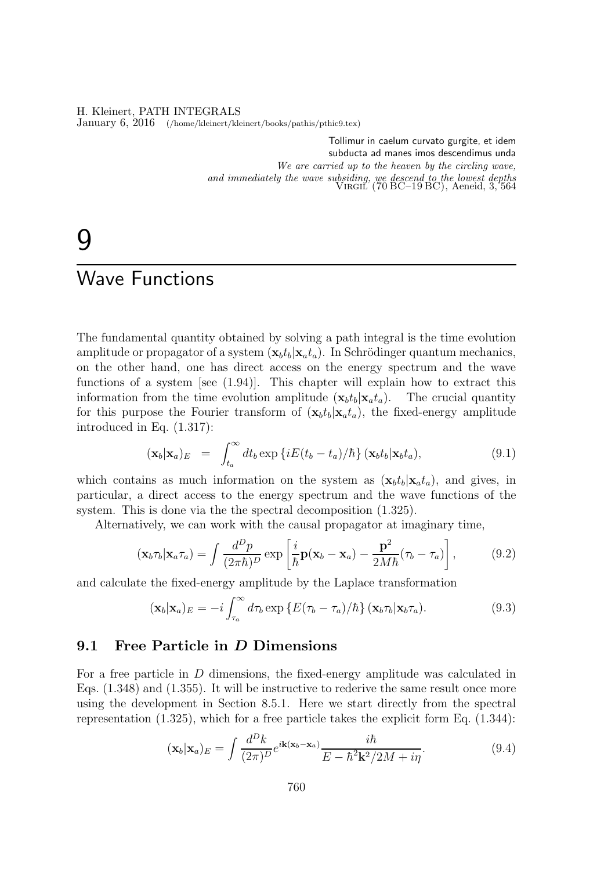H. Kleinert, PATH INTEGRALS January 6, 2016 (/home/kleinert/kleinert/books/pathis/pthic9.tex)

> Tollimur in caelum curvato gurgite, et idem subducta ad manes imos descendimus unda We are carried up to the heaven by the circling wave, and immediately the wave subsiding, we descend to the lowest depths Virgil (70 BC–19 BC), Aeneid, 3, 564

# 9

# Wave Functions

The fundamental quantity obtained by solving a path integral is the time evolution amplitude or propagator of a system  $(\mathbf{x}_b t_b | \mathbf{x}_a t_a)$ . In Schrödinger quantum mechanics, on the other hand, one has direct access on the energy spectrum and the wave functions of a system [see (1.94)]. This chapter will explain how to extract this information from the time evolution amplitude  $(\mathbf{x}_b t_b | \mathbf{x}_a t_a)$ . The crucial quantity for this purpose the Fourier transform of  $(\mathbf{x}_b t_b | \mathbf{x}_a t_a)$ , the fixed-energy amplitude introduced in Eq. (1.317):

$$
(\mathbf{x}_b|\mathbf{x}_a)_E = \int_{t_a}^{\infty} dt_b \exp \{ iE(t_b - t_a)/\hbar \} (\mathbf{x}_b t_b|\mathbf{x}_b t_a), \qquad (9.1)
$$

which contains as much information on the system as  $(\mathbf{x}_b t_b|\mathbf{x}_a t_a)$ , and gives, in particular, a direct access to the energy spectrum and the wave functions of the system. This is done via the the spectral decomposition (1.325).

Alternatively, we can work with the causal propagator at imaginary time,

$$
(\mathbf{x}_b \tau_b | \mathbf{x}_a \tau_a) = \int \frac{d^D p}{(2\pi \hbar)^D} \exp\left[\frac{i}{\hbar} \mathbf{p}(\mathbf{x}_b - \mathbf{x}_a) - \frac{\mathbf{p}^2}{2M\hbar}(\tau_b - \tau_a)\right],\tag{9.2}
$$

and calculate the fixed-energy amplitude by the Laplace transformation

$$
(\mathbf{x}_b|\mathbf{x}_a)_E = -i \int_{\tau_a}^{\infty} d\tau_b \exp\left\{ E(\tau_b - \tau_a)/\hbar \right\} (\mathbf{x}_b \tau_b|\mathbf{x}_b \tau_a).
$$
 (9.3)

### 9.1 Free Particle in D Dimensions

For a free particle in D dimensions, the fixed-energy amplitude was calculated in Eqs. (1.348) and (1.355). It will be instructive to rederive the same result once more using the development in Section 8.5.1. Here we start directly from the spectral representation  $(1.325)$ , which for a free particle takes the explicit form Eq.  $(1.344)$ :

$$
(\mathbf{x}_b|\mathbf{x}_a)_E = \int \frac{d^D k}{(2\pi)^D} e^{i\mathbf{k}(\mathbf{x}_b - \mathbf{x}_a)} \frac{i\hbar}{E - \hbar^2 \mathbf{k}^2 / 2M + i\eta}.
$$
 (9.4)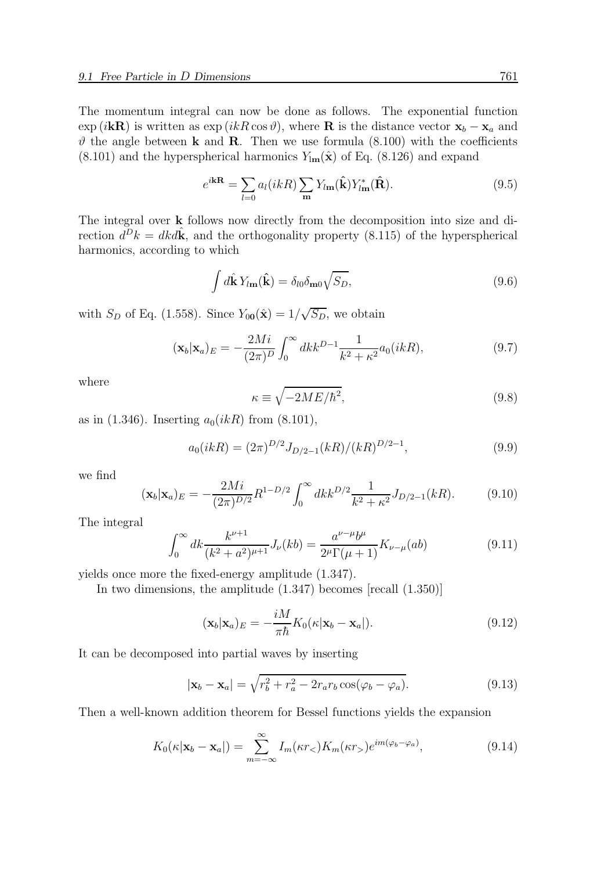The momentum integral can now be done as follows. The exponential function  $\exp(i\mathbf{k}\mathbf{R})$  is written as  $\exp(ikR\cos\vartheta)$ , where **R** is the distance vector  $\mathbf{x}_b - \mathbf{x}_a$  and  $\vartheta$  the angle between **k** and **R**. Then we use formula (8.100) with the coefficients  $(8.101)$  and the hyperspherical harmonics  $Y_{lm}(\hat{x})$  of Eq.  $(8.126)$  and expand

$$
e^{i\mathbf{k}\mathbf{R}} = \sum_{l=0} a_l(i k R) \sum_{\mathbf{m}} Y_{l\mathbf{m}}(\hat{\mathbf{k}}) Y_{l\mathbf{m}}^*(\hat{\mathbf{R}}).
$$
 (9.5)

The integral over k follows now directly from the decomposition into size and direction  $\tilde{d}^D k = d k \tilde{d} k$ , and the orthogonality property (8.115) of the hyperspherical harmonics, according to which

$$
\int d\hat{\mathbf{k}} Y_{l\mathbf{m}}(\hat{\mathbf{k}}) = \delta_{l0} \delta_{\mathbf{m}0} \sqrt{S_D}, \qquad (9.6)
$$

with  $S_D$  of Eq. (1.558). Since  $Y_{00}(\hat{\mathbf{x}}) = 1/\sqrt{S_D}$ , we obtain

$$
(\mathbf{x}_b|\mathbf{x}_a)_E = -\frac{2Mi}{(2\pi)^D} \int_0^\infty dk k^{D-1} \frac{1}{k^2 + \kappa^2} a_0(ikR),\tag{9.7}
$$

where

$$
\kappa \equiv \sqrt{-2ME/\hbar^2},\tag{9.8}
$$

as in (1.346). Inserting  $a_0(ikR)$  from (8.101),

$$
a_0(ikR) = (2\pi)^{D/2} J_{D/2-1}(kR) / (kR)^{D/2-1},
$$
\n(9.9)

we find

$$
(\mathbf{x}_b|\mathbf{x}_a)_E = -\frac{2Mi}{(2\pi)^{D/2}} R^{1-D/2} \int_0^\infty dk k^{D/2} \frac{1}{k^2 + \kappa^2} J_{D/2-1}(kR). \tag{9.10}
$$

The integral

$$
\int_0^\infty dk \frac{k^{\nu+1}}{(k^2 + a^2)^{\mu+1}} J_\nu(kb) = \frac{a^{\nu-\mu}b^\mu}{2^\mu \Gamma(\mu+1)} K_{\nu-\mu}(ab) \tag{9.11}
$$

yields once more the fixed-energy amplitude (1.347).

In two dimensions, the amplitude (1.347) becomes [recall (1.350)]

$$
(\mathbf{x}_b|\mathbf{x}_a)_E = -\frac{iM}{\pi\hbar}K_0(\kappa|\mathbf{x}_b - \mathbf{x}_a|). \tag{9.12}
$$

It can be decomposed into partial waves by inserting

$$
|\mathbf{x}_b - \mathbf{x}_a| = \sqrt{r_b^2 + r_a^2 - 2r_a r_b \cos(\varphi_b - \varphi_a)}.
$$
\n(9.13)

Then a well-known addition theorem for Bessel functions yields the expansion

$$
K_0(\kappa|\mathbf{x}_b - \mathbf{x}_a|) = \sum_{m=-\infty}^{\infty} I_m(\kappa r_<) K_m(\kappa r_>) e^{im(\varphi_b - \varphi_a)}, \qquad (9.14)
$$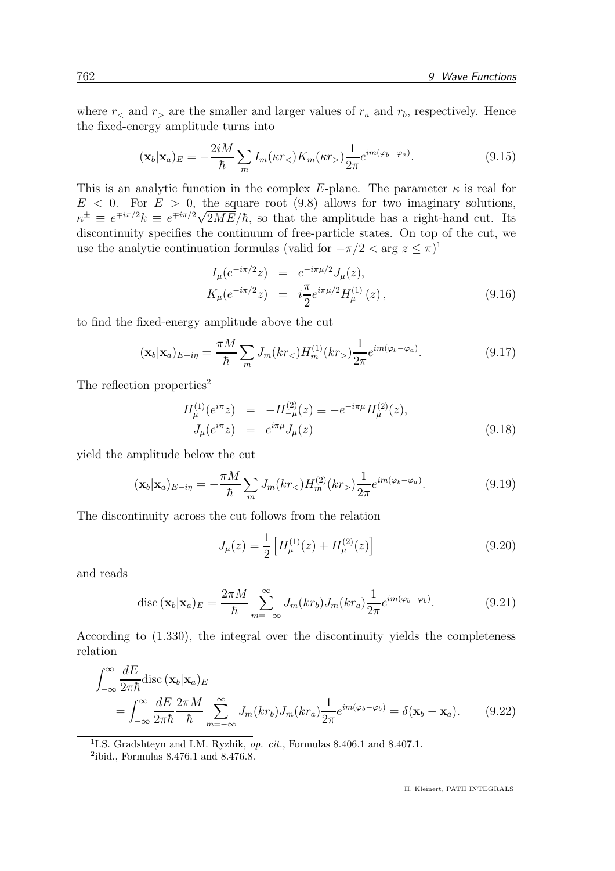where  $r<sub>5</sub>$  and  $r<sub>6</sub>$  are the smaller and larger values of  $r<sub>a</sub>$  and  $r<sub>b</sub>$ , respectively. Hence the fixed-energy amplitude turns into

$$
(\mathbf{x}_b|\mathbf{x}_a)_E = -\frac{2iM}{\hbar} \sum_m I_m(\kappa r_<) K_m(\kappa r_>) \frac{1}{2\pi} e^{im(\varphi_b - \varphi_a)}.
$$
\n(9.15)

This is an analytic function in the complex E-plane. The parameter  $\kappa$  is real for  $E < 0$ . For  $E > 0$ , the square root (9.8) allows for two imaginary solutions,  $\kappa^{\pm} \equiv e^{\mp i\pi/2} k \equiv e^{\mp i\pi/2} \sqrt{2ME}/\hbar$ , so that the amplitude has a right-hand cut. Its discontinuity specifies the continuum of free-particle states. On top of the cut, we use the analytic continuation formulas (valid for  $-\pi/2 < \arg z \le \pi$ )<sup>1</sup>

$$
I_{\mu}(e^{-i\pi/2}z) = e^{-i\pi\mu/2}J_{\mu}(z),
$$
  
\n
$$
K_{\mu}(e^{-i\pi/2}z) = i\frac{\pi}{2}e^{i\pi\mu/2}H_{\mu}^{(1)}(z),
$$
\n(9.16)

to find the fixed-energy amplitude above the cut

$$
(\mathbf{x}_b|\mathbf{x}_a)_{E+i\eta} = \frac{\pi M}{\hbar} \sum_m J_m(kr_<) H_m^{(1)}(kr_>) \frac{1}{2\pi} e^{im(\varphi_b - \varphi_a)}.
$$
\n(9.17)

The reflection properties<sup>2</sup>

$$
H_{\mu}^{(1)}(e^{i\pi}z) = -H_{-\mu}^{(2)}(z) \equiv -e^{-i\pi\mu}H_{\mu}^{(2)}(z),
$$
  
\n
$$
J_{\mu}(e^{i\pi}z) = e^{i\pi\mu}J_{\mu}(z)
$$
\n(9.18)

yield the amplitude below the cut

$$
(\mathbf{x}_b|\mathbf{x}_a)_{E-i\eta} = -\frac{\pi M}{\hbar} \sum_m J_m(kr_<) H_m^{(2)}(kr_>) \frac{1}{2\pi} e^{im(\varphi_b - \varphi_a)}.
$$
(9.19)

The discontinuity across the cut follows from the relation

$$
J_{\mu}(z) = \frac{1}{2} \left[ H_{\mu}^{(1)}(z) + H_{\mu}^{(2)}(z) \right]
$$
 (9.20)

and reads

$$
\operatorname{disc}\left(\mathbf{x}_{b}\vert\mathbf{x}_{a}\right)_{E}=\frac{2\pi M}{\hbar}\sum_{m=-\infty}^{\infty}J_{m}(kr_{b})J_{m}(kr_{a})\frac{1}{2\pi}e^{im(\varphi_{b}-\varphi_{b})}.\tag{9.21}
$$

According to (1.330), the integral over the discontinuity yields the completeness relation

$$
\int_{-\infty}^{\infty} \frac{dE}{2\pi\hbar} \text{disc} \left( \mathbf{x}_b | \mathbf{x}_a \right) E
$$
\n
$$
= \int_{-\infty}^{\infty} \frac{dE}{2\pi\hbar} \frac{2\pi M}{\hbar} \sum_{m=-\infty}^{\infty} J_m(kr_b) J_m(kr_a) \frac{1}{2\pi} e^{im(\varphi_b - \varphi_b)} = \delta(\mathbf{x}_b - \mathbf{x}_a). \tag{9.22}
$$

<sup>1</sup>I.S. Gradshteyn and I.M. Ryzhik, op. cit., Formulas 8.406.1 and 8.407.1.

<sup>2</sup> ibid., Formulas 8.476.1 and 8.476.8.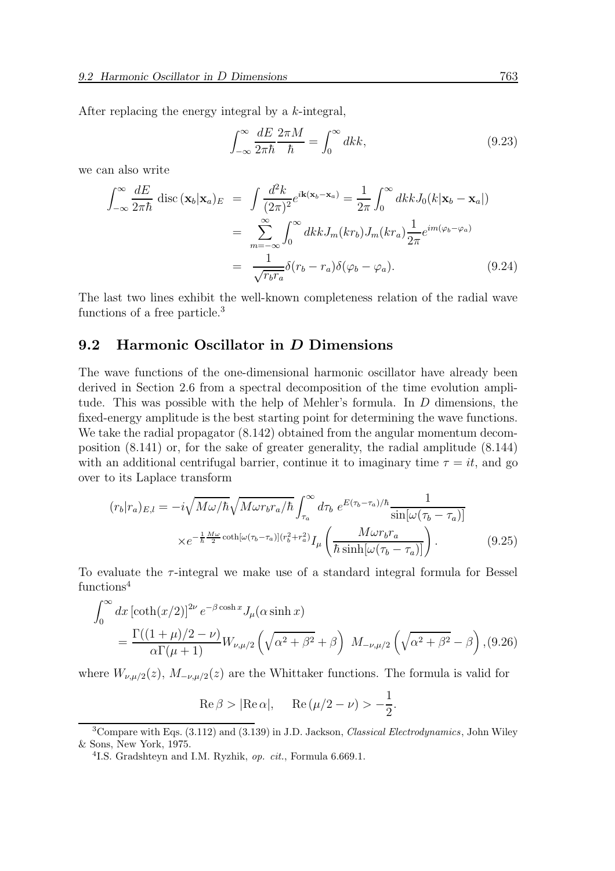After replacing the energy integral by a k-integral,

$$
\int_{-\infty}^{\infty} \frac{dE}{2\pi\hbar} \frac{2\pi M}{\hbar} = \int_{0}^{\infty} dk k,
$$
\n(9.23)

we can also write

$$
\int_{-\infty}^{\infty} \frac{dE}{2\pi\hbar} \operatorname{disc}(\mathbf{x}_b|\mathbf{x}_a)_{E} = \int \frac{d^2k}{(2\pi)^2} e^{i\mathbf{k}(\mathbf{x}_b - \mathbf{x}_a)} = \frac{1}{2\pi} \int_{0}^{\infty} dk k J_0(k|\mathbf{x}_b - \mathbf{x}_a|)
$$

$$
= \sum_{m=-\infty}^{\infty} \int_{0}^{\infty} dk k J_m(kr_b) J_m(kr_a) \frac{1}{2\pi} e^{im(\varphi_b - \varphi_a)}
$$

$$
= \frac{1}{\sqrt{r_b r_a}} \delta(r_b - r_a) \delta(\varphi_b - \varphi_a). \tag{9.24}
$$

The last two lines exhibit the well-known completeness relation of the radial wave functions of a free particle.<sup>3</sup>

#### 9.2 Harmonic Oscillator in D Dimensions

The wave functions of the one-dimensional harmonic oscillator have already been derived in Section 2.6 from a spectral decomposition of the time evolution amplitude. This was possible with the help of Mehler's formula. In D dimensions, the fixed-energy amplitude is the best starting point for determining the wave functions. We take the radial propagator  $(8.142)$  obtained from the angular momentum decomposition (8.141) or, for the sake of greater generality, the radial amplitude (8.144) with an additional centrifugal barrier, continue it to imaginary time  $\tau = it$ , and go over to its Laplace transform

$$
(r_b|r_a)_{E,l} = -i\sqrt{M\omega/\hbar}\sqrt{M\omega r_b r_a/\hbar} \int_{\tau_a}^{\infty} d\tau_b e^{E(\tau_b - \tau_a)/\hbar} \frac{1}{\sin[\omega(\tau_b - \tau_a)]}
$$

$$
\times e^{-\frac{1}{\hbar}\frac{M\omega}{2}\coth[\omega(\tau_b - \tau_a)](r_b^2 + r_a^2)} I_{\mu} \left(\frac{M\omega r_b r_a}{\hbar \sinh[\omega(\tau_b - \tau_a)]}\right). \tag{9.25}
$$

To evaluate the  $\tau$ -integral we make use of a standard integral formula for Bessel functions<sup>4</sup>

$$
\int_0^\infty dx \left[ \coth(x/2) \right]^{2\nu} e^{-\beta \cosh x} J_\mu(\alpha \sinh x) \n= \frac{\Gamma((1+\mu)/2 - \nu)}{\alpha \Gamma(\mu + 1)} W_{\nu, \mu/2} \left( \sqrt{\alpha^2 + \beta^2} + \beta \right) M_{-\nu, \mu/2} \left( \sqrt{\alpha^2 + \beta^2} - \beta \right), (9.26)
$$

where  $W_{\nu,\mu/2}(z)$ ,  $M_{-\nu,\mu/2}(z)$  are the Whittaker functions. The formula is valid for

$$
\operatorname{Re}\beta > |\operatorname{Re}\alpha|, \quad \operatorname{Re}\left(\mu/2 - \nu\right) > -\frac{1}{2}.
$$

 $3$ Compare with Eqs.  $(3.112)$  and  $(3.139)$  in J.D. Jackson, *Classical Electrodynamics*, John Wiley & Sons, New York, 1975.

<sup>&</sup>lt;sup>4</sup>I.S. Gradshteyn and I.M. Ryzhik, op. cit., Formula 6.669.1.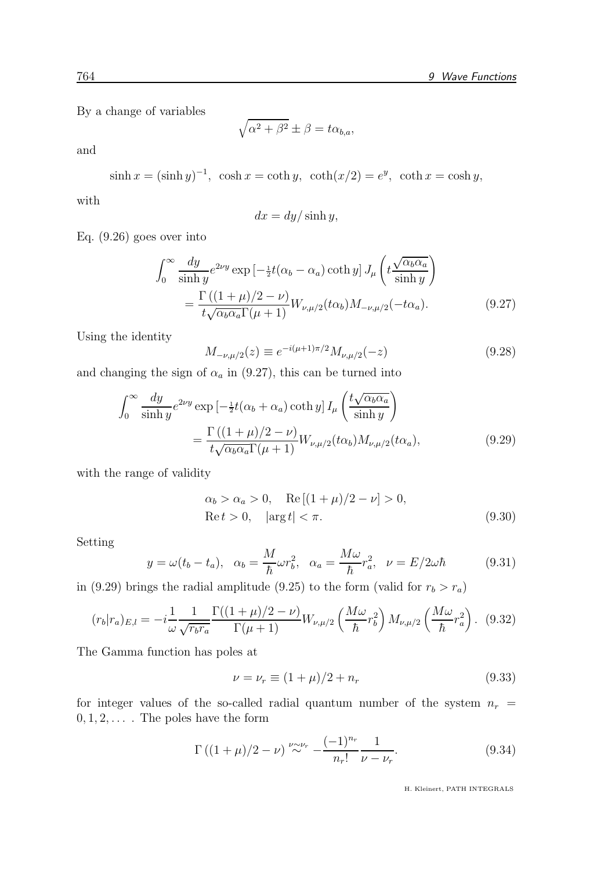By a change of variables

$$
\sqrt{\alpha^2 + \beta^2} \pm \beta = t\alpha_{b,a},
$$

and

$$
\sinh x = (\sinh y)^{-1}, \quad \cosh x = \coth y, \quad \coth(x/2) = e^y, \quad \coth x = \cosh y,
$$

with

$$
dx = dy/\sinh y,
$$

Eq. (9.26) goes over into

$$
\int_0^\infty \frac{dy}{\sinh y} e^{2\nu y} \exp\left[-\frac{1}{2}t(\alpha_b - \alpha_a)\coth y\right] J_\mu\left(t\frac{\sqrt{\alpha_b \alpha_a}}{\sinh y}\right)
$$

$$
= \frac{\Gamma\left((1+\mu)/2-\nu\right)}{t\sqrt{\alpha_b \alpha_a} \Gamma(\mu+1)} W_{\nu,\mu/2}(t\alpha_b) M_{-\nu,\mu/2}(-t\alpha_a). \tag{9.27}
$$

Using the identity

$$
M_{-\nu,\mu/2}(z) \equiv e^{-i(\mu+1)\pi/2} M_{\nu,\mu/2}(-z) \tag{9.28}
$$

and changing the sign of  $\alpha_a$  in (9.27), this can be turned into

$$
\int_0^\infty \frac{dy}{\sinh y} e^{2\nu y} \exp\left[-\frac{1}{2}t(\alpha_b + \alpha_a)\coth y\right] I_\mu \left(\frac{t\sqrt{\alpha_b \alpha_a}}{\sinh y}\right)
$$

$$
= \frac{\Gamma\left((1+\mu)/2 - \nu\right)}{t\sqrt{\alpha_b \alpha_a} \Gamma(\mu+1)} W_{\nu,\mu/2}(t\alpha_b) M_{\nu,\mu/2}(t\alpha_a), \tag{9.29}
$$

with the range of validity

$$
\alpha_b > \alpha_a > 0, \quad \text{Re} \left[ (1 + \mu)/2 - \nu \right] > 0,
$$
  
\n $\text{Re} t > 0, \quad |\text{arg} t| < \pi.$  (9.30)

Setting

$$
y = \omega(t_b - t_a), \quad \alpha_b = \frac{M}{\hbar} \omega r_b^2, \quad \alpha_a = \frac{M\omega}{\hbar} r_a^2, \quad \nu = E/2\omega\hbar \tag{9.31}
$$

in (9.29) brings the radial amplitude (9.25) to the form (valid for  $r_b > r_a$ )

$$
(r_b|r_a)_{E,l} = -i\frac{1}{\omega} \frac{1}{\sqrt{r_b r_a}} \frac{\Gamma((1+\mu)/2 - \nu)}{\Gamma(\mu+1)} W_{\nu,\mu/2} \left(\frac{M\omega}{\hbar} r_b^2\right) M_{\nu,\mu/2} \left(\frac{M\omega}{\hbar} r_a^2\right). \tag{9.32}
$$

The Gamma function has poles at

$$
\nu = \nu_r \equiv (1 + \mu)/2 + n_r \tag{9.33}
$$

for integer values of the so-called radial quantum number of the system  $n_r$  =  $0, 1, 2, \ldots$  . The poles have the form

$$
\Gamma((1+\mu)/2-\nu) \stackrel{\nu \sim \nu_r}{\sim} -\frac{(-1)^{n_r}}{n_r!} \frac{1}{\nu-\nu_r}.
$$
\n(9.34)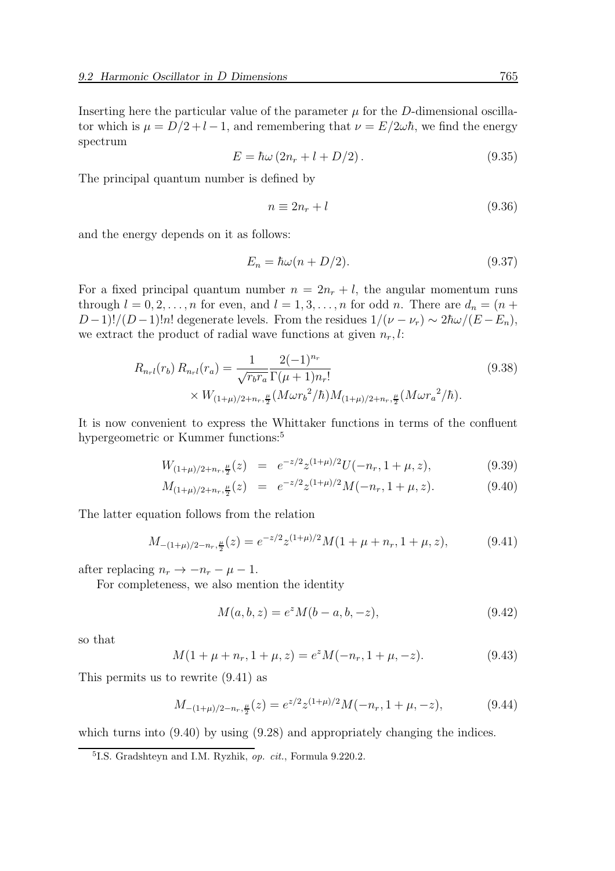Inserting here the particular value of the parameter  $\mu$  for the D-dimensional oscillator which is  $\mu = D/2 + l - 1$ , and remembering that  $\nu = E/2\omega\hbar$ , we find the energy spectrum

$$
E = \hbar\omega \left(2n_r + l + D/2\right). \tag{9.35}
$$

The principal quantum number is defined by

$$
n \equiv 2n_r + l \tag{9.36}
$$

and the energy depends on it as follows:

$$
E_n = \hbar\omega(n + D/2). \tag{9.37}
$$

For a fixed principal quantum number  $n = 2n_r + l$ , the angular momentum runs through  $l = 0, 2, ..., n$  for even, and  $l = 1, 3, ..., n$  for odd n. There are  $d_n = (n +$  $D-1!/(D-1)!n!$  degenerate levels. From the residues  $1/(\nu-\nu_r) \sim 2\hbar\omega/(E-E_n)$ , we extract the product of radial wave functions at given  $n_r, l$ :

$$
R_{n_{r}l}(r_{b}) R_{n_{r}l}(r_{a}) = \frac{1}{\sqrt{r_{b}r_{a}}} \frac{2(-1)^{n_{r}}}{\Gamma(\mu+1)n_{r}!} \times W_{(1+\mu)/2+n_{r},\frac{\mu}{2}}(M\omega r_{b}^{2}/\hbar) M_{(1+\mu)/2+n_{r},\frac{\mu}{2}}(M\omega r_{a}^{2}/\hbar).
$$
\n(9.38)

It is now convenient to express the Whittaker functions in terms of the confluent hypergeometric or Kummer functions:<sup>5</sup>

$$
W_{(1+\mu)/2+n_r,\frac{\mu}{2}}(z) = e^{-z/2}z^{(1+\mu)/2}U(-n_r, 1+\mu, z), \tag{9.39}
$$

$$
M_{(1+\mu)/2+n_r,\frac{\mu}{2}}(z) = e^{-z/2}z^{(1+\mu)/2}M(-n_r, 1+\mu, z). \tag{9.40}
$$

The latter equation follows from the relation

$$
M_{-(1+\mu)/2-n_r,\frac{\mu}{2}}(z) = e^{-z/2}z^{(1+\mu)/2}M(1+\mu+n_r,1+\mu,z),\tag{9.41}
$$

after replacing  $n_r \rightarrow -n_r - \mu - 1$ .

For completeness, we also mention the identity

$$
M(a, b, z) = e^{z} M(b - a, b, -z),
$$
\n(9.42)

so that

$$
M(1 + \mu + n_r, 1 + \mu, z) = e^z M(-n_r, 1 + \mu, -z).
$$
 (9.43)

This permits us to rewrite (9.41) as

$$
M_{-(1+\mu)/2-n_r,\frac{\mu}{2}}(z) = e^{z/2} z^{(1+\mu)/2} M(-n_r, 1+\mu, -z), \tag{9.44}
$$

which turns into  $(9.40)$  by using  $(9.28)$  and appropriately changing the indices.

<sup>&</sup>lt;sup>5</sup>I.S. Gradshteyn and I.M. Ryzhik, op. cit., Formula 9.220.2.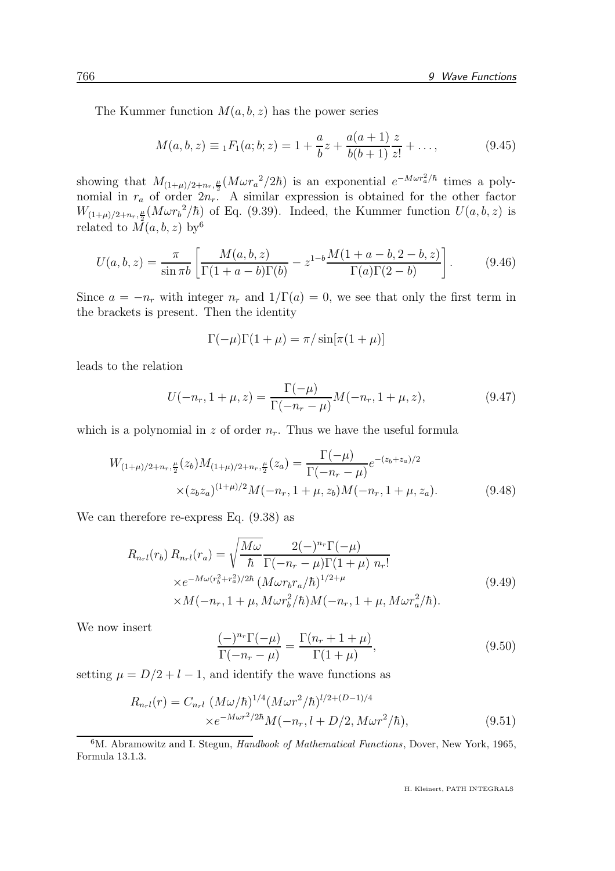The Kummer function  $M(a, b, z)$  has the power series

$$
M(a, b, z) \equiv {}_1F_1(a; b; z) = 1 + \frac{a}{b}z + \frac{a(a+1)}{b(b+1)}\frac{z}{z!} + \dots,
$$
 (9.45)

showing that  $M_{(1+\mu)/2+n_r,\frac{\mu}{2}}(M \omega r_a^2/2\hbar)$  is an exponential  $e^{-M \omega r_a^2/\hbar}$  times a polynomial in  $r_a$  of order  $2n_r$ . A similar expression is obtained for the other factor  $W_{(1+\mu)/2+n_r,\frac{\mu}{2}}(M\omega r_b^2/\hbar)$  of Eq. (9.39). Indeed, the Kummer function  $U(a, b, z)$  is related to  $\overline{M}(a, b, z)$  by <sup>6</sup>

$$
U(a, b, z) = \frac{\pi}{\sin \pi b} \left[ \frac{M(a, b, z)}{\Gamma(1 + a - b)\Gamma(b)} - z^{1 - b} \frac{M(1 + a - b, 2 - b, z)}{\Gamma(a)\Gamma(2 - b)} \right].
$$
 (9.46)

Since  $a = -n_r$  with integer  $n_r$  and  $1/\Gamma(a) = 0$ , we see that only the first term in the brackets is present. Then the identity

$$
\Gamma(-\mu)\Gamma(1+\mu) = \pi/\sin[\pi(1+\mu)]
$$

leads to the relation

$$
U(-n_r, 1+\mu, z) = \frac{\Gamma(-\mu)}{\Gamma(-n_r - \mu)} M(-n_r, 1+\mu, z), \qquad (9.47)
$$

which is a polynomial in z of order  $n_r$ . Thus we have the useful formula

$$
W_{(1+\mu)/2+n_r,\frac{\mu}{2}}(z_b)M_{(1+\mu)/2+n_r,\frac{\mu}{2}}(z_a) = \frac{\Gamma(-\mu)}{\Gamma(-n_r-\mu)}e^{-(z_b+z_a)/2}
$$
  
 
$$
\times (z_b z_a)^{(1+\mu)/2}M(-n_r, 1+\mu, z_b)M(-n_r, 1+\mu, z_a).
$$
 (9.48)

We can therefore re-express Eq. (9.38) as

$$
R_{n_r l}(r_b) R_{n_r l}(r_a) = \sqrt{\frac{M\omega}{\hbar}} \frac{2(-)^{n_r} \Gamma(-\mu)}{\Gamma(-n_r - \mu) \Gamma(1 + \mu) n_r!} \times e^{-M\omega(r_b^2 + r_a^2)/2\hbar} \left(M\omega r_b r_a/\hbar\right)^{1/2 + \mu} \times M(-n_r, 1 + \mu, M\omega r_b^2/\hbar) M(-n_r, 1 + \mu, M\omega r_a^2/\hbar).
$$
\n(9.49)

We now insert

$$
\frac{(-)^{n_r}\Gamma(-\mu)}{\Gamma(-n_r-\mu)} = \frac{\Gamma(n_r+1+\mu)}{\Gamma(1+\mu)},\tag{9.50}
$$

setting  $\mu = D/2 + l - 1$ , and identify the wave functions as

$$
R_{n_{r}l}(r) = C_{n_{r}l} \left( M\omega/\hbar \right)^{1/4} \left( M\omega r^{2}/\hbar \right)^{l/2 + (D-1)/4}
$$
  
× $e^{-M\omega r^{2}/2\hbar} M(-n_{r}, l + D/2, M\omega r^{2}/\hbar),$  (9.51)

<sup>&</sup>lt;sup>6</sup>M. Abramowitz and I. Stegun, *Handbook of Mathematical Functions*, Dover, New York, 1965, Formula 13.1.3.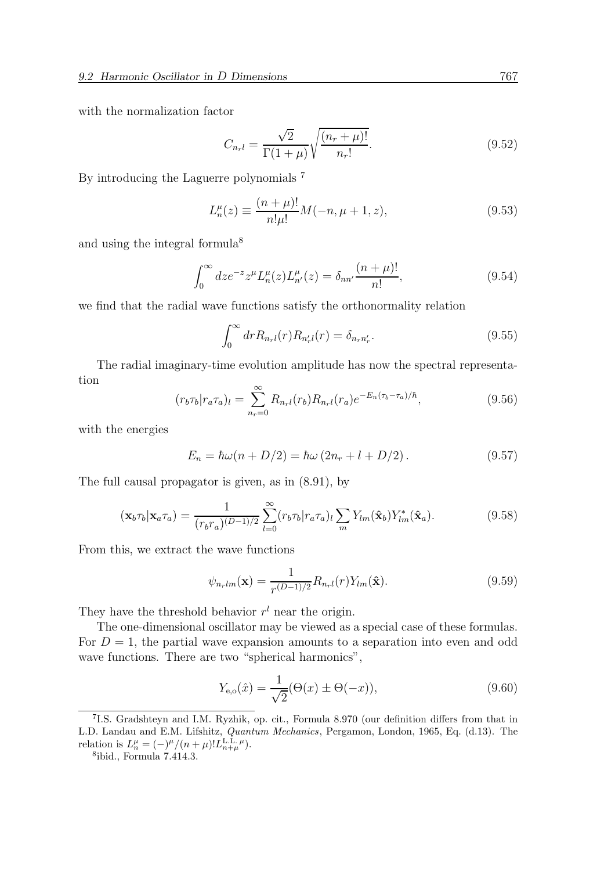with the normalization factor

$$
C_{n_{r}l} = \frac{\sqrt{2}}{\Gamma(1+\mu)} \sqrt{\frac{(n_{r}+\mu)!}{n_{r}!}}.
$$
\n(9.52)

By introducing the Laguerre polynomials <sup>7</sup>

$$
L_n^{\mu}(z) \equiv \frac{(n+\mu)!}{n!\mu!} M(-n, \mu+1, z), \tag{9.53}
$$

and using the integral formula<sup>8</sup>

$$
\int_0^\infty dz e^{-z} z^\mu L_n^\mu(z) L_{n'}^\mu(z) = \delta_{nn'} \frac{(n+\mu)!}{n!},\tag{9.54}
$$

we find that the radial wave functions satisfy the orthonormality relation

$$
\int_0^\infty dr R_{n_r}r(r) R_{n'_r}r(r) = \delta_{n_r n'_r}.
$$
\n(9.55)

The radial imaginary-time evolution amplitude has now the spectral representation

$$
(r_b \tau_b | r_a \tau_a)_l = \sum_{n_r=0}^{\infty} R_{n_r l}(r_b) R_{n_r l}(r_a) e^{-E_n(\tau_b - \tau_a)/\hbar}, \qquad (9.56)
$$

with the energies

$$
E_n = \hbar\omega(n + D/2) = \hbar\omega(2n_r + l + D/2).
$$
 (9.57)

The full causal propagator is given, as in (8.91), by

$$
\left(\mathbf{x}_b \tau_b \middle| \mathbf{x}_a \tau_a\right) = \frac{1}{(r_b r_a)^{(D-1)/2}} \sum_{l=0}^{\infty} (r_b \tau_b \middle| r_a \tau_a) \sum_m Y_{lm}(\hat{\mathbf{x}}_b) Y_{lm}^*(\hat{\mathbf{x}}_a). \tag{9.58}
$$

From this, we extract the wave functions

$$
\psi_{n_rlm}(\mathbf{x}) = \frac{1}{r^{(D-1)/2}} R_{n_rl}(r) Y_{lm}(\hat{\mathbf{x}}).
$$
\n(9.59)

They have the threshold behavior  $r<sup>l</sup>$  near the origin.

The one-dimensional oscillator may be viewed as a special case of these formulas. For  $D = 1$ , the partial wave expansion amounts to a separation into even and odd wave functions. There are two "spherical harmonics",

$$
Y_{e,o}(\hat{x}) = \frac{1}{\sqrt{2}} (\Theta(x) \pm \Theta(-x)),
$$
\n(9.60)

<sup>7</sup> I.S. Gradshteyn and I.M. Ryzhik, op. cit., Formula 8.970 (our definition differs from that in L.D. Landau and E.M. Lifshitz, Quantum Mechanics, Pergamon, London, 1965, Eq. (d.13). The relation is  $L_n^{\mu} = (-)^{\mu}/(n+\mu)! L_{n+\mu}^{\text{L.L.}\,\mu}$ .

<sup>8</sup> ibid., Formula 7.414.3.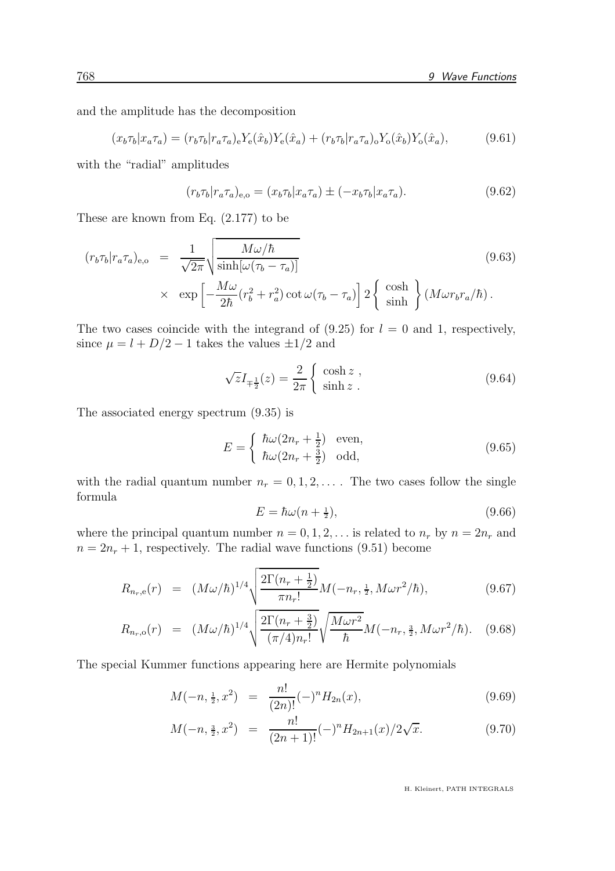and the amplitude has the decomposition

$$
(x_b \tau_b | x_a \tau_a) = (r_b \tau_b | r_a \tau_a)_e Y_e(\hat{x}_b) Y_e(\hat{x}_a) + (r_b \tau_b | r_a \tau_a)_o Y_o(\hat{x}_b) Y_o(\hat{x}_a), \tag{9.61}
$$

with the "radial" amplitudes

$$
(r_b \tau_b | r_a \tau_a)_{e,o} = (x_b \tau_b | x_a \tau_a) \pm (-x_b \tau_b | x_a \tau_a). \tag{9.62}
$$

These are known from Eq. (2.177) to be

$$
(r_b \tau_b | r_a \tau_a)_{e,o} = \frac{1}{\sqrt{2\pi}} \sqrt{\frac{M\omega/\hbar}{\sinh[\omega(\tau_b - \tau_a)]}} \times \exp\left[-\frac{M\omega}{2\hbar} (r_b^2 + r_a^2) \cot \omega(\tau_b - \tau_a)\right] 2 \left\{\begin{array}{c} \cosh \\ \sinh \end{array}\right\} (M\omega r_b r_a/\hbar).
$$
\n(9.63)

The two cases coincide with the integrand of  $(9.25)$  for  $l = 0$  and 1, respectively, since  $\mu = l + D/2 - 1$  takes the values  $\pm 1/2$  and

$$
\sqrt{z}I_{\mp\frac{1}{2}}(z) = \frac{2}{2\pi} \begin{cases} \cosh z, \\ \sinh z. \end{cases}
$$
\n(9.64)

The associated energy spectrum (9.35) is

$$
E = \begin{cases} \hbar\omega(2n_r + \frac{1}{2}) & \text{even,} \\ \hbar\omega(2n_r + \frac{3}{2}) & \text{odd,} \end{cases}
$$
 (9.65)

with the radial quantum number  $n_r = 0, 1, 2, \ldots$ . The two cases follow the single formula

$$
E = \hbar\omega(n + \frac{1}{2}),\tag{9.66}
$$

where the principal quantum number  $n = 0, 1, 2, \ldots$  is related to  $n_r$  by  $n = 2n_r$  and  $n = 2n_r + 1$ , respectively. The radial wave functions (9.51) become

$$
R_{n_r,e}(r) = (M\omega/\hbar)^{1/4} \sqrt{\frac{2\Gamma(n_r+\frac{1}{2})}{\pi n_r!}} M(-n_r,\tfrac{1}{2},M\omega r^2/\hbar), \tag{9.67}
$$

$$
R_{n_r,\text{o}}(r) = (M\omega/\hbar)^{1/4} \sqrt{\frac{2\Gamma(n_r+\frac{3}{2})}{(\pi/4)n_r!}} \sqrt{\frac{M\omega r^2}{\hbar}} M(-n_r,\tfrac{3}{2},M\omega r^2/\hbar). \quad (9.68)
$$

The special Kummer functions appearing here are Hermite polynomials

$$
M(-n, \frac{1}{2}, x^2) = \frac{n!}{(2n)!} (-)^n H_{2n}(x), \qquad (9.69)
$$

$$
M(-n, \frac{3}{2}, x^2) = \frac{n!}{(2n+1)!}(-)^n H_{2n+1}(x)/2\sqrt{x}.
$$
 (9.70)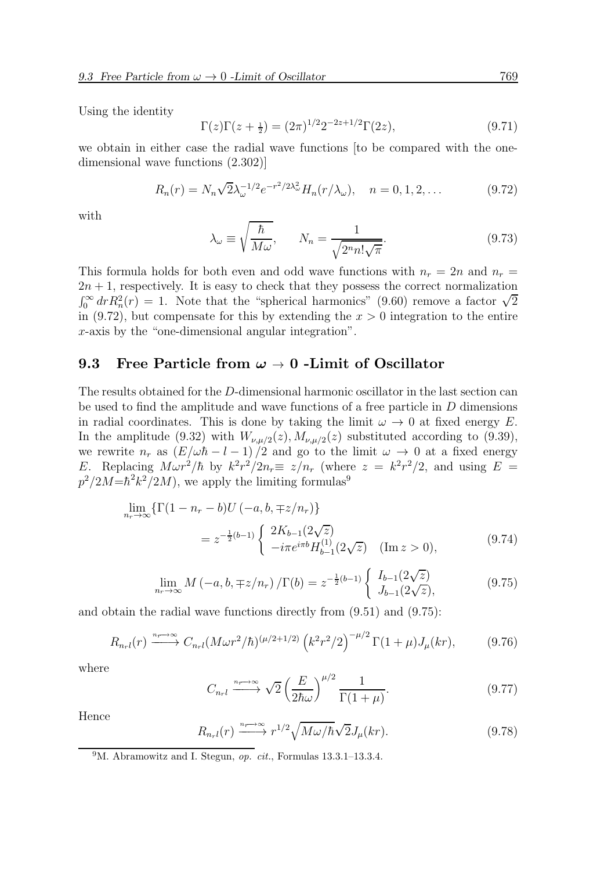Using the identity

$$
\Gamma(z)\Gamma(z+\frac{1}{2}) = (2\pi)^{1/2}2^{-2z+1/2}\Gamma(2z),\tag{9.71}
$$

we obtain in either case the radial wave functions [to be compared with the onedimensional wave functions (2.302)]

$$
R_n(r) = N_n \sqrt{2} \lambda_{\omega}^{-1/2} e^{-r^2/2\lambda_{\omega}^2} H_n(r/\lambda_{\omega}), \quad n = 0, 1, 2, ... \tag{9.72}
$$

with

$$
\lambda_{\omega} \equiv \sqrt{\frac{\hbar}{M\omega}}, \qquad N_n = \frac{1}{\sqrt{2^n n! \sqrt{\pi}}}.
$$
\n(9.73)

This formula holds for both even and odd wave functions with  $n_r = 2n$  and  $n_r =$  $2n + 1$ , respectively. It is easy to check that they possess the correct normalization  $\int_0^\infty dr R_n^2(r) = 1$ . Note that the "spherical harmonics" (9.60) remove a factor  $\sqrt{2}$ in (9.72), but compensate for this by extending the  $x > 0$  integration to the entire x-axis by the "one-dimensional angular integration".

#### 9.3 Free Particle from  $\omega \to 0$  -Limit of Oscillator

The results obtained for the D-dimensional harmonic oscillator in the last section can be used to find the amplitude and wave functions of a free particle in D dimensions in radial coordinates. This is done by taking the limit  $\omega \to 0$  at fixed energy E. In the amplitude (9.32) with  $W_{\nu,\mu/2}(z)$ ,  $M_{\nu,\mu/2}(z)$  substituted according to (9.39), we rewrite  $n_r$  as  $(E/\omega\hbar - l - 1)/2$  and go to the limit  $\omega \to 0$  at a fixed energy E. Replacing  $M \omega r^2/\hbar$  by  $k^2 r^2/2n_r \equiv z/n_r$  (where  $z = k^2 r^2/2$ , and using  $E =$  $p^2/2M = \hbar^2 k^2/2M$ , we apply the limiting formulas<sup>9</sup>

$$
\lim_{n_r \to \infty} \{ \Gamma(1 - n_r - b) U(-a, b, \mp z/n_r) \}
$$
\n
$$
= z^{-\frac{1}{2}(b-1)} \begin{cases} 2K_{b-1}(2\sqrt{z}) \\ -i\pi e^{i\pi b} H_{b-1}^{(1)}(2\sqrt{z}) \end{cases} \quad (\text{Im } z > 0), \tag{9.74}
$$

$$
\lim_{n_r \to \infty} M(-a, b, \mp z/n_r) / \Gamma(b) = z^{-\frac{1}{2}(b-1)} \begin{cases} I_{b-1}(2\sqrt{z}) \\ J_{b-1}(2\sqrt{z}), \end{cases}
$$
(9.75)

and obtain the radial wave functions directly from (9.51) and (9.75):

$$
R_{n_r l}(r) \xrightarrow{n_r \to \infty} C_{n_r l} (M \omega r^2 / \hbar)^{(\mu/2 + 1/2)} \left( k^2 r^2 / 2 \right)^{-\mu/2} \Gamma(1 + \mu) J_\mu(kr), \tag{9.76}
$$

where

$$
C_{n_r l} \xrightarrow{n_r \to \infty} \sqrt{2} \left(\frac{E}{2\hbar\omega}\right)^{\mu/2} \frac{1}{\Gamma(1+\mu)}.\tag{9.77}
$$

Hence

$$
R_{n_r}(\mathbf{r}) \xrightarrow{n_r \to \infty} r^{1/2} \sqrt{M\omega/\hbar} \sqrt{2} J_\mu(kr). \tag{9.78}
$$

<sup>&</sup>lt;sup>9</sup>M. Abramowitz and I. Stegun, *op. cit.*, Formulas  $13.3.1$ – $13.3.4$ .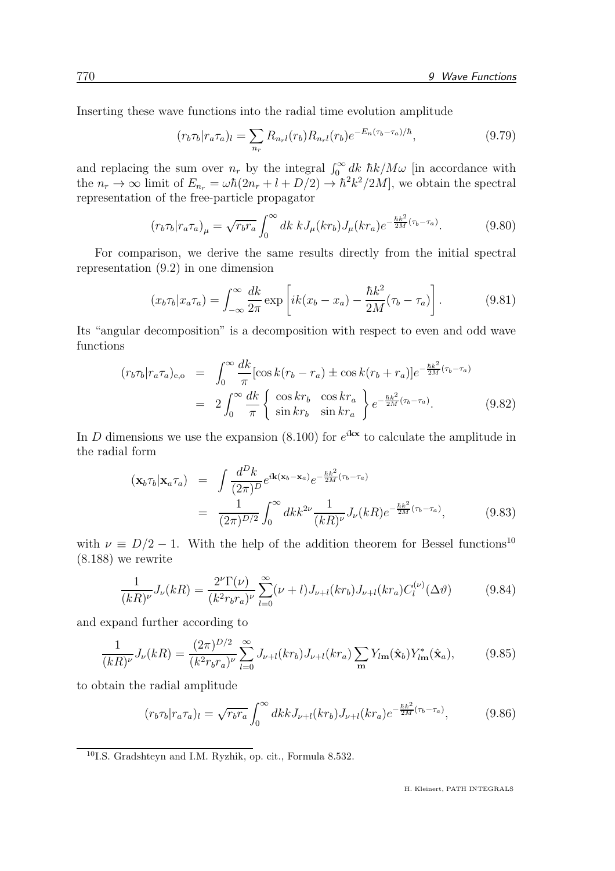Inserting these wave functions into the radial time evolution amplitude

$$
(r_b \tau_b | r_a \tau_a)_l = \sum_{n_r} R_{n_r l}(r_b) R_{n_r l}(r_b) e^{-E_n(\tau_b - \tau_a)/\hbar}, \qquad (9.79)
$$

and replacing the sum over  $n_r$  by the integral  $\int_0^\infty dk \ \hbar k / M \omega$  [in accordance with the  $n_r \to \infty$  limit of  $E_{n_r} = \omega \hbar (2n_r + l + D/2) \to \hbar^2 k^2 / 2M$ , we obtain the spectral representation of the free-particle propagator

$$
(r_b \tau_b | r_a \tau_a)_{\mu} = \sqrt{r_b r_a} \int_0^{\infty} dk \ k J_{\mu}(kr_b) J_{\mu}(kr_a) e^{-\frac{\hbar k^2}{2M} (\tau_b - \tau_a)}.
$$
 (9.80)

For comparison, we derive the same results directly from the initial spectral representation (9.2) in one dimension

$$
(x_b \tau_b | x_a \tau_a) = \int_{-\infty}^{\infty} \frac{dk}{2\pi} \exp\left[ik(x_b - x_a) - \frac{\hbar k^2}{2M} (\tau_b - \tau_a)\right].
$$
 (9.81)

Its "angular decomposition" is a decomposition with respect to even and odd wave functions

$$
(r_b \tau_b | r_a \tau_a)_{e,o} = \int_0^\infty \frac{dk}{\pi} [\cos k(r_b - r_a) \pm \cos k(r_b + r_a)] e^{-\frac{\hbar k^2}{2M}(\tau_b - \tau_a)}
$$
  

$$
= 2 \int_0^\infty \frac{dk}{\pi} \begin{cases} \cos kr_b & \cos kr_a \\ \sin kr_b & \sin kr_a \end{cases} e^{-\frac{\hbar k^2}{2M}(\tau_b - \tau_a)}. \tag{9.82}
$$

In D dimensions we use the expansion (8.100) for  $e^{i\mathbf{k}\cdot\mathbf{x}}$  to calculate the amplitude in the radial form

$$
\begin{split} (\mathbf{x}_b \tau_b | \mathbf{x}_a \tau_a) &= \int \frac{d^D k}{(2\pi)^D} e^{i\mathbf{k}(\mathbf{x}_b - \mathbf{x}_a)} e^{-\frac{\hbar k^2}{2M}(\tau_b - \tau_a)} \\ &= \frac{1}{(2\pi)^{D/2}} \int_0^\infty dk k^{2\nu} \frac{1}{(kR)^\nu} J_\nu(kR) e^{-\frac{\hbar k^2}{2M}(\tau_b - \tau_a)}, \end{split} \tag{9.83}
$$

with  $\nu \equiv D/2 - 1$ . With the help of the addition theorem for Bessel functions<sup>10</sup> (8.188) we rewrite

$$
\frac{1}{(kR)^{\nu}} J_{\nu}(kR) = \frac{2^{\nu} \Gamma(\nu)}{(k^2 r_b r_a)^{\nu}} \sum_{l=0}^{\infty} (\nu + l) J_{\nu+l}(kr_b) J_{\nu+l}(kr_a) C_l^{(\nu)}(\Delta \vartheta)
$$
(9.84)

and expand further according to

$$
\frac{1}{(kR)^{\nu}} J_{\nu}(kR) = \frac{(2\pi)^{D/2}}{(k^2 r_b r_a)^{\nu}} \sum_{l=0}^{\infty} J_{\nu+l}(kr_b) J_{\nu+l}(kr_a) \sum_{m} Y_{l\mathbf{m}}(\hat{\mathbf{x}}_b) Y_{l\mathbf{m}}^*(\hat{\mathbf{x}}_a), \tag{9.85}
$$

to obtain the radial amplitude

$$
(r_b \tau_b | r_a \tau_a)_l = \sqrt{r_b r_a} \int_0^\infty dk k J_{\nu+l}(kr_b) J_{\nu+l}(kr_a) e^{-\frac{\hbar k^2}{2M}(\tau_b - \tau_a)}, \tag{9.86}
$$

<sup>10</sup>I.S. Gradshteyn and I.M. Ryzhik, op. cit., Formula 8.532.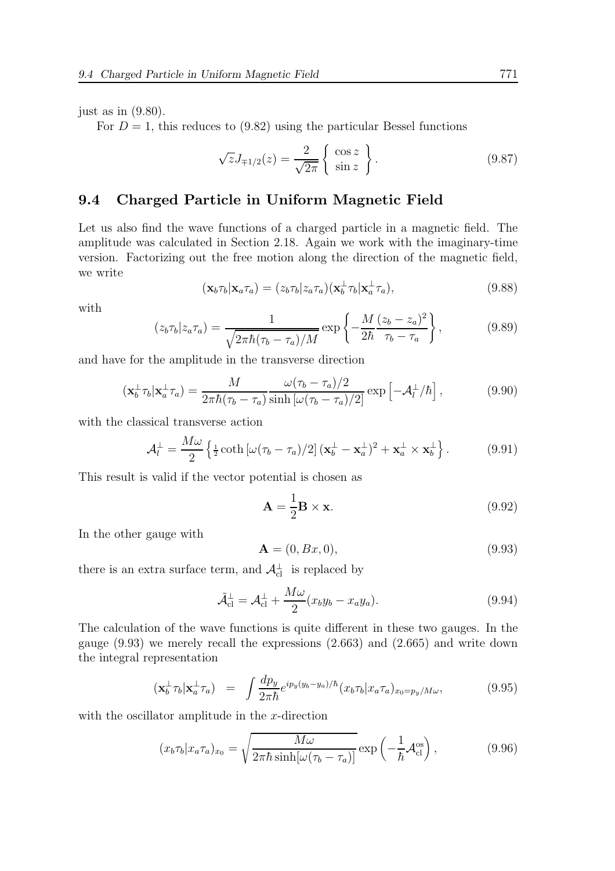just as in  $(9.80)$ .

For  $D = 1$ , this reduces to (9.82) using the particular Bessel functions

$$
\sqrt{z}J_{\mp 1/2}(z) = \frac{2}{\sqrt{2\pi}} \begin{Bmatrix} \cos z \\ \sin z \end{Bmatrix}.
$$
 (9.87)

#### 9.4 Charged Particle in Uniform Magnetic Field

Let us also find the wave functions of a charged particle in a magnetic field. The amplitude was calculated in Section 2.18. Again we work with the imaginary-time version. Factorizing out the free motion along the direction of the magnetic field, we write

$$
(\mathbf{x}_b \tau_b | \mathbf{x}_a \tau_a) = (z_b \tau_b | z_a \tau_a) (\mathbf{x}_b^{\perp} \tau_b | \mathbf{x}_a^{\perp} \tau_a), \tag{9.88}
$$

with

$$
(z_b \tau_b | z_a \tau_a) = \frac{1}{\sqrt{2\pi\hbar(\tau_b - \tau_a)/M}} \exp\left\{-\frac{M}{2\hbar} \frac{(z_b - z_a)^2}{\tau_b - \tau_a}\right\},\tag{9.89}
$$

and have for the amplitude in the transverse direction

$$
(\mathbf{x}_b^{\perp}\tau_b|\mathbf{x}_a^{\perp}\tau_a) = \frac{M}{2\pi\hbar(\tau_b - \tau_a)}\frac{\omega(\tau_b - \tau_a)/2}{\sinh\left[\omega(\tau_b - \tau_a)/2\right]} \exp\left[-\mathcal{A}_l^{\perp}/\hbar\right],\tag{9.90}
$$

with the classical transverse action

$$
\mathcal{A}_l^{\perp} = \frac{M\omega}{2} \left\{ \frac{1}{2} \coth\left[\omega(\tau_b - \tau_a)/2\right] (\mathbf{x}_b^{\perp} - \mathbf{x}_a^{\perp})^2 + \mathbf{x}_a^{\perp} \times \mathbf{x}_b^{\perp} \right\}.
$$
 (9.91)

This result is valid if the vector potential is chosen as

$$
\mathbf{A} = \frac{1}{2}\mathbf{B} \times \mathbf{x}.\tag{9.92}
$$

In the other gauge with

$$
\mathbf{A} = (0, Bx, 0),\tag{9.93}
$$

there is an extra surface term, and  $\mathcal{A}_{\text{cl}}^{\perp}$  is replaced by

$$
\tilde{\mathcal{A}}_{\text{cl}}^{\perp} = \mathcal{A}_{\text{cl}}^{\perp} + \frac{M\omega}{2} (x_b y_b - x_a y_a). \tag{9.94}
$$

The calculation of the wave functions is quite different in these two gauges. In the gauge (9.93) we merely recall the expressions (2.663) and (2.665) and write down the integral representation

$$
(\mathbf{x}_b^{\perp}\tau_b|\mathbf{x}_a^{\perp}\tau_a) = \int \frac{dp_y}{2\pi\hbar} e^{ip_y(y_b - y_a)/\hbar} (x_b \tau_b|x_a \tau_a)_{x_0 = p_y/M\omega}, \qquad (9.95)
$$

with the oscillator amplitude in the  $x$ -direction

$$
(x_b \tau_b | x_a \tau_a)_{x_0} = \sqrt{\frac{M\omega}{2\pi\hbar \sinh[\omega(\tau_b - \tau_a)]}} \exp\left(-\frac{1}{\hbar} \mathcal{A}_{\text{cl}}^{\text{os}}\right),\tag{9.96}
$$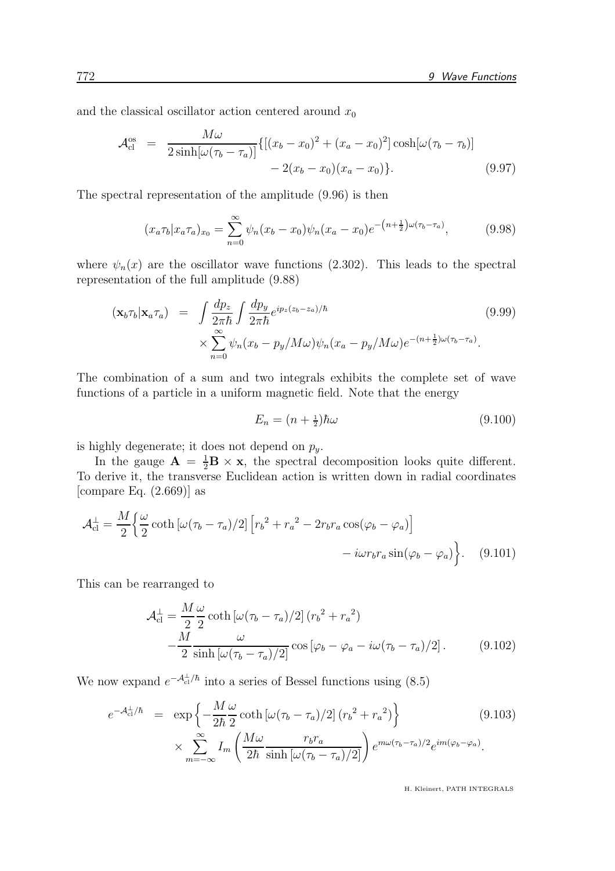and the classical oscillator action centered around  $x_0$ 

$$
\mathcal{A}_{\text{cl}}^{\text{os}} = \frac{M\omega}{2\sinh[\omega(\tau_b - \tau_a)]} \{[(x_b - x_0)^2 + (x_a - x_0)^2] \cosh[\omega(\tau_b - \tau_b)] -2(x_b - x_0)(x_a - x_0)\}.
$$
\n(9.97)

The spectral representation of the amplitude (9.96) is then

$$
(x_a \tau_b | x_a \tau_a)_{x_0} = \sum_{n=0}^{\infty} \psi_n (x_b - x_0) \psi_n (x_a - x_0) e^{-(n + \frac{1}{2}) \omega (\tau_b - \tau_a)}, \tag{9.98}
$$

where  $\psi_n(x)$  are the oscillator wave functions (2.302). This leads to the spectral representation of the full amplitude (9.88)

$$
(\mathbf{x}_b \tau_b | \mathbf{x}_a \tau_a) = \int \frac{dp_z}{2\pi \hbar} \int \frac{dp_y}{2\pi \hbar} e^{ip_z(z_b - z_a)/\hbar} \qquad (9.99)
$$
  
 
$$
\times \sum_{n=0}^{\infty} \psi_n (x_b - p_y / M\omega) \psi_n (x_a - p_y / M\omega) e^{-(n + \frac{1}{2})\omega(\tau_b - \tau_a)}.
$$

The combination of a sum and two integrals exhibits the complete set of wave functions of a particle in a uniform magnetic field. Note that the energy

$$
E_n = (n + \frac{1}{2})\hbar\omega\tag{9.100}
$$

is highly degenerate; it does not depend on  $p_y$ .

In the gauge  $\mathbf{A} = \frac{1}{2}\mathbf{B} \times \mathbf{x}$ , the spectral decomposition looks quite different. To derive it, the transverse Euclidean action is written down in radial coordinates [compare Eq.  $(2.669)$ ] as

$$
\mathcal{A}_{\text{cl}}^{\perp} = \frac{M}{2} \left\{ \frac{\omega}{2} \coth\left[\omega(\tau_b - \tau_a)/2\right] \left[r_b^2 + r_a^2 - 2r_b r_a \cos(\varphi_b - \varphi_a)\right] - i\omega r_b r_a \sin(\varphi_b - \varphi_a) \right\}.
$$
 (9.101)

This can be rearranged to

$$
\mathcal{A}_{\text{cl}}^{\perp} = \frac{M}{2} \frac{\omega}{2} \coth\left[\omega(\tau_b - \tau_a)/2\right] (r_b^2 + r_a^2) \n- \frac{M}{2} \frac{\omega}{\sinh\left[\omega(\tau_b - \tau_a)/2\right]} \cos\left[\varphi_b - \varphi_a - i\omega(\tau_b - \tau_a)/2\right].
$$
\n(9.102)

We now expand  $e^{-\mathcal{A}_{cl}^{\perp}/\hbar}$  into a series of Bessel functions using (8.5)

$$
e^{-\mathcal{A}_{\text{cl}}^{\perp}/\hbar} = \exp\left\{-\frac{M}{2\hbar}\frac{\omega}{2}\coth\left[\omega(\tau_b - \tau_a)/2\right](r_b^2 + r_a^2)\right\}
$$
(9.103)  

$$
\times \sum_{m=-\infty}^{\infty} I_m \left(\frac{M\omega}{2\hbar}\frac{r_b r_a}{\sinh\left[\omega(\tau_b - \tau_a)/2\right]}\right) e^{m\omega(\tau_b - \tau_a)/2} e^{im(\varphi_b - \varphi_a)}.
$$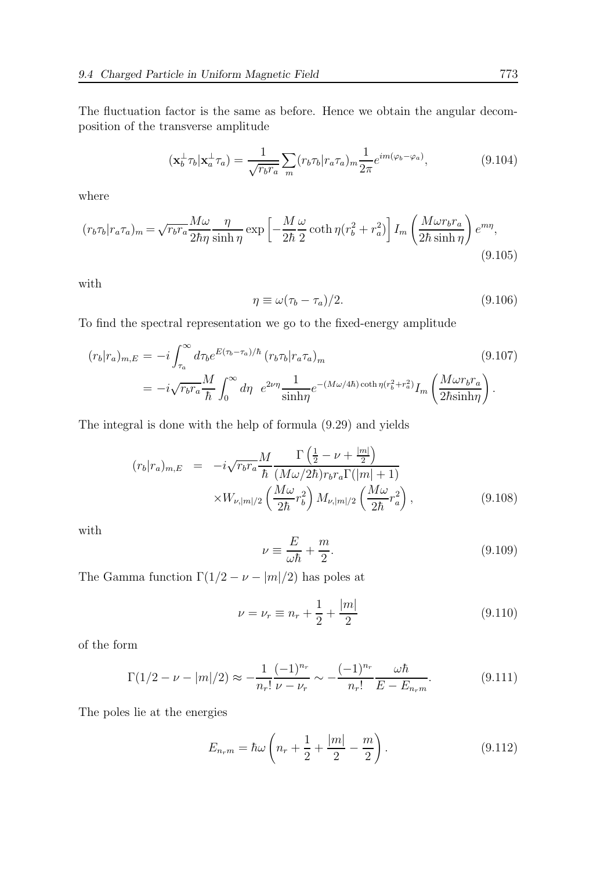The fluctuation factor is the same as before. Hence we obtain the angular decomposition of the transverse amplitude

$$
(\mathbf{x}_b^{\perp}\tau_b|\mathbf{x}_a^{\perp}\tau_a) = \frac{1}{\sqrt{r_b r_a}} \sum_m (r_b \tau_b | r_a \tau_a)_m \frac{1}{2\pi} e^{im(\varphi_b - \varphi_a)}, \tag{9.104}
$$

where

$$
(r_b \tau_b | r_a \tau_a)_m = \sqrt{r_b r_a} \frac{M \omega}{2\hbar \eta} \frac{\eta}{\sinh \eta} \exp\left[ -\frac{M}{2\hbar} \frac{\omega}{2} \coth \eta (r_b^2 + r_a^2) \right] I_m \left( \frac{M \omega r_b r_a}{2\hbar \sinh \eta} \right) e^{m\eta},\tag{9.105}
$$

with

$$
\eta \equiv \omega(\tau_b - \tau_a)/2. \tag{9.106}
$$

To find the spectral representation we go to the fixed-energy amplitude

$$
(r_b|r_a)_{m,E} = -i \int_{\tau_a}^{\infty} d\tau_b e^{E(\tau_b - \tau_a)/\hbar} (r_b \tau_b | r_a \tau_a)_m
$$
\n
$$
= -i \sqrt{r_b r_a} \frac{M}{\hbar} \int_0^{\infty} d\eta \ e^{2\nu \eta} \frac{1}{\sinh \eta} e^{-(M\omega/4\hbar) \coth \eta (r_b^2 + r_a^2)} I_m \left( \frac{M\omega r_b r_a}{2\hbar \sinh \eta} \right).
$$
\n(9.107)

The integral is done with the help of formula (9.29) and yields

$$
(r_b|r_a)_{m,E} = -i\sqrt{r_b r_a} \frac{M}{\hbar} \frac{\Gamma\left(\frac{1}{2} - \nu + \frac{|m|}{2}\right)}{(M\omega/2\hbar)r_b r_a \Gamma(|m|+1)} \times W_{\nu,|m|/2} \left(\frac{M\omega}{2\hbar}r_b^2\right) M_{\nu,|m|/2} \left(\frac{M\omega}{2\hbar}r_a^2\right), \tag{9.108}
$$

with

$$
\nu \equiv \frac{E}{\omega \hbar} + \frac{m}{2}.\tag{9.109}
$$

The Gamma function  $\Gamma(1/2-\nu-|m|/2)$  has poles at

$$
\nu = \nu_r \equiv n_r + \frac{1}{2} + \frac{|m|}{2} \tag{9.110}
$$

of the form

$$
\Gamma(1/2 - \nu - |m|/2) \approx -\frac{1}{n_r!} \frac{(-1)^{n_r}}{\nu - \nu_r} \sim -\frac{(-1)^{n_r}}{n_r!} \frac{\omega \hbar}{E - E_{n_r m}}.
$$
\n(9.111)

The poles lie at the energies

$$
E_{n_r m} = \hbar \omega \left( n_r + \frac{1}{2} + \frac{|m|}{2} - \frac{m}{2} \right).
$$
 (9.112)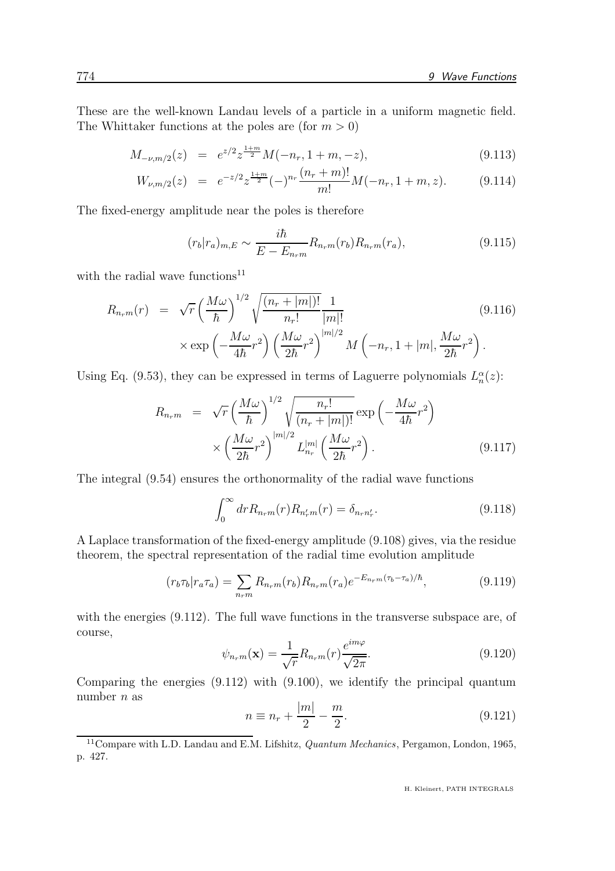These are the well-known Landau levels of a particle in a uniform magnetic field. The Whittaker functions at the poles are (for  $m > 0$ )

$$
M_{-\nu,m/2}(z) = e^{z/2} z^{\frac{1+m}{2}} M(-n_r, 1+m, -z), \tag{9.113}
$$

$$
W_{\nu,m/2}(z) = e^{-z/2} z^{\frac{1+m}{2}} (-)^{n_r} \frac{(n_r+m)!}{m!} M(-n_r, 1+m, z). \tag{9.114}
$$

The fixed-energy amplitude near the poles is therefore

$$
(r_b|r_a)_{m,E} \sim \frac{i\hbar}{E - E_{n_r m}} R_{n_r m}(r_b) R_{n_r m}(r_a), \qquad (9.115)
$$

with the radial wave functions<sup>11</sup>

$$
R_{n_r m}(r) = \sqrt{r} \left(\frac{M\omega}{\hbar}\right)^{1/2} \sqrt{\frac{(n_r + |m|)!}{n_r!}} \frac{1}{|m|!} \qquad (9.116)
$$
  
 
$$
\times \exp\left(-\frac{M\omega}{4\hbar}r^2\right) \left(\frac{M\omega}{2\hbar}r^2\right)^{|m|/2} M\left(-n_r, 1 + |m|, \frac{M\omega}{2\hbar}r^2\right).
$$

Using Eq. (9.53), they can be expressed in terms of Laguerre polynomials  $L_n^{\alpha}(z)$ :

$$
R_{n_r m} = \sqrt{r} \left(\frac{M\omega}{\hbar}\right)^{1/2} \sqrt{\frac{n_r!}{(n_r + |m|)!}} \exp\left(-\frac{M\omega}{4\hbar}r^2\right)
$$

$$
\times \left(\frac{M\omega}{2\hbar}r^2\right)^{|m|/2} L_{n_r}^{|m|} \left(\frac{M\omega}{2\hbar}r^2\right). \tag{9.117}
$$

The integral (9.54) ensures the orthonormality of the radial wave functions

$$
\int_0^\infty dr R_{n_r m}(r) R_{n'_r m}(r) = \delta_{n_r n'_r}.
$$
\n(9.118)

A Laplace transformation of the fixed-energy amplitude (9.108) gives, via the residue theorem, the spectral representation of the radial time evolution amplitude

$$
(r_b \tau_b | r_a \tau_a) = \sum_{n_r m} R_{n_r m}(r_b) R_{n_r m}(r_a) e^{-E_{n_r m} (\tau_b - \tau_a)/\hbar}, \qquad (9.119)
$$

with the energies  $(9.112)$ . The full wave functions in the transverse subspace are, of course,

$$
\psi_{n_r m}(\mathbf{x}) = \frac{1}{\sqrt{r}} R_{n_r m}(r) \frac{e^{im\varphi}}{\sqrt{2\pi}}.
$$
\n(9.120)

Comparing the energies (9.112) with (9.100), we identify the principal quantum number  $n$  as

$$
n \equiv n_r + \frac{|m|}{2} - \frac{m}{2}.
$$
 (9.121)

 $^{11}$  Compare with L.D. Landau and E.M. Lifshitz, *Quantum Mechanics*, Pergamon, London, 1965, p. 427.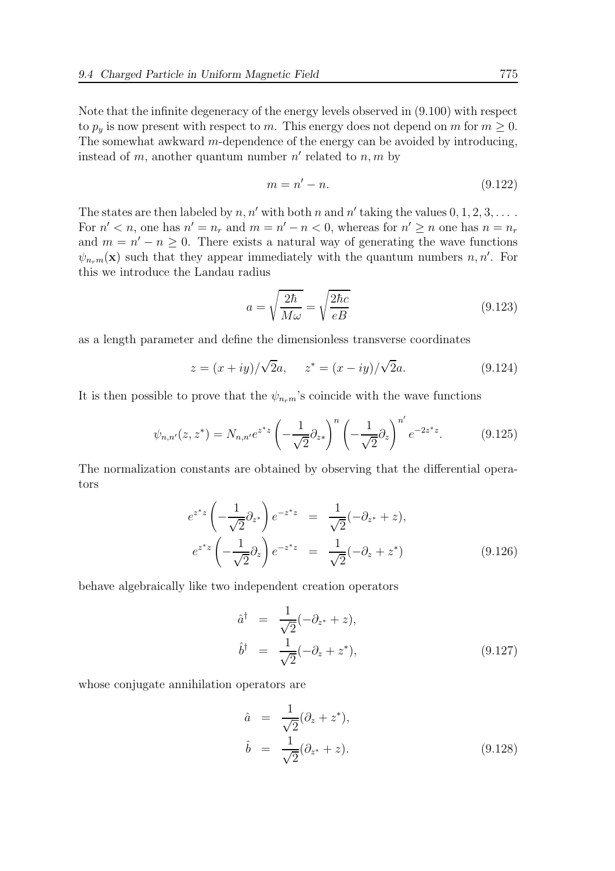Note that the infinite degeneracy of the energy levels observed in (9.100) with respect to  $p_y$  is now present with respect to m. This energy does not depend on m for  $m \geq 0$ . The somewhat awkward m-dependence of the energy can be avoided by introducing, instead of m, another quantum number  $n'$  related to  $n, m$  by

$$
m = n' - n.\tag{9.122}
$$

The states are then labeled by  $n, n'$  with both n and n' taking the values  $0, 1, 2, 3, \ldots$ . For  $n' < n$ , one has  $n' = n_r$  and  $m = n' - n < 0$ , whereas for  $n' \ge n$  one has  $n = n_r$ and  $m = n' - n \ge 0$ . There exists a natural way of generating the wave functions  $\psi_{n_r,m}(\mathbf{x})$  such that they appear immediately with the quantum numbers  $n, n'$ . For this we introduce the Landau radius

$$
a = \sqrt{\frac{2\hbar}{M\omega}} = \sqrt{\frac{2\hbar c}{eB}}\tag{9.123}
$$

as a length parameter and define the dimensionless transverse coordinates

$$
z = (x + iy)/\sqrt{2}a, \quad z^* = (x - iy)/\sqrt{2}a. \tag{9.124}
$$

It is then possible to prove that the  $\psi_{n_r m}$ 's coincide with the wave functions

$$
\psi_{n,n'}(z,z^*) = N_{n,n'}e^{z^*z} \left(-\frac{1}{\sqrt{2}}\partial_{z^*}\right)^n \left(-\frac{1}{\sqrt{2}}\partial_z\right)^{n'}e^{-2z^*z}.\tag{9.125}
$$

The normalization constants are obtained by observing that the differential operators

$$
e^{z^*z} \left(-\frac{1}{\sqrt{2}}\partial_{z^*}\right) e^{-z^*z} = \frac{1}{\sqrt{2}}(-\partial_{z^*} + z),
$$
  
\n
$$
e^{z^*z} \left(-\frac{1}{\sqrt{2}}\partial_z\right) e^{-z^*z} = \frac{1}{\sqrt{2}}(-\partial_z + z^*)
$$
\n(9.126)

behave algebraically like two independent creation operators

$$
\hat{a}^{\dagger} = \frac{1}{\sqrt{2}}(-\partial_{z^*} + z),
$$
  
\n
$$
\hat{b}^{\dagger} = \frac{1}{\sqrt{2}}(-\partial_z + z^*),
$$
\n(9.127)

whose conjugate annihilation operators are

$$
\hat{a} = \frac{1}{\sqrt{2}} (\partial_z + z^*), \n\hat{b} = \frac{1}{\sqrt{2}} (\partial_{z^*} + z).
$$
\n(9.128)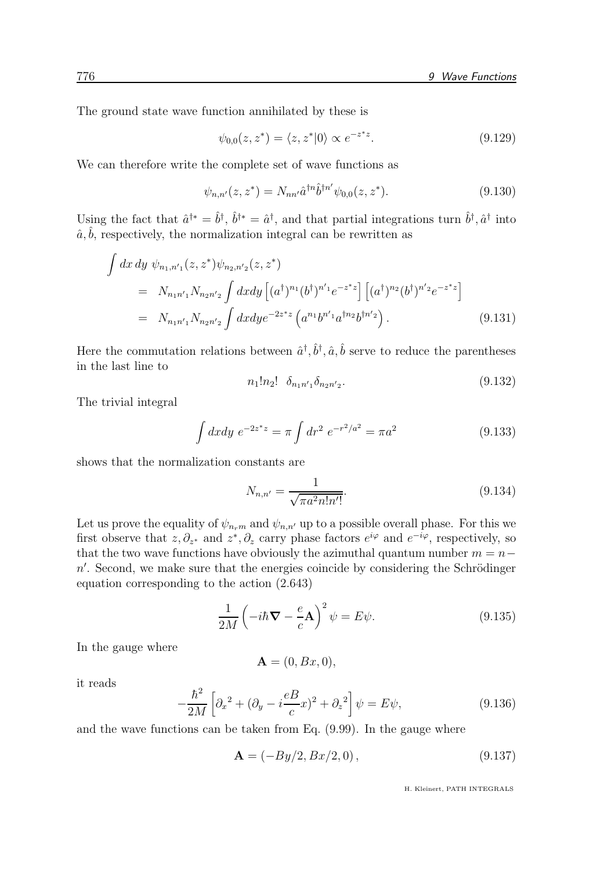The ground state wave function annihilated by these is

$$
\psi_{0,0}(z, z^*) = \langle z, z^* | 0 \rangle \propto e^{-z^* z}.
$$
\n(9.129)

We can therefore write the complete set of wave functions as

$$
\psi_{n,n'}(z,z^*) = N_{nn'}\hat{a}^{\dagger n}\hat{b}^{\dagger n'}\psi_{0,0}(z,z^*).
$$
\n(9.130)

Using the fact that  $\hat{a}^{\dagger *} = \hat{b}^{\dagger}$ ,  $\hat{b}^{\dagger *} = \hat{a}^{\dagger}$ , and that partial integrations turn  $\hat{b}^{\dagger}$ ,  $\hat{a}^{\dagger}$  into  $\hat{a}, \hat{b}$ , respectively, the normalization integral can be rewritten as

$$
\int dx dy \psi_{n_1,n'_1}(z, z^*) \psi_{n_2,n'_2}(z, z^*)
$$
\n
$$
= N_{n_1 n'_1} N_{n_2 n'_2} \int dx dy \left[ (a^{\dagger})^{n_1} (b^{\dagger})^{n'_1} e^{-z^* z} \right] \left[ (a^{\dagger})^{n_2} (b^{\dagger})^{n'_2} e^{-z^* z} \right]
$$
\n
$$
= N_{n_1 n'_1} N_{n_2 n'_2} \int dx dy e^{-2z^* z} \left( a^{n_1} b^{n'_1} a^{\dagger n_2} b^{\dagger n'_2} \right).
$$
\n(9.131)

Here the commutation relations between  $\hat{a}^{\dagger}, \hat{b}^{\dagger}, \hat{a}, \hat{b}$  serve to reduce the parentheses in the last line to

$$
n_1!n_2! \delta_{n_1n'_1}\delta_{n_2n'_2}.\tag{9.132}
$$

The trivial integral

$$
\int dx dy \ e^{-2z^*z} = \pi \int dr^2 \ e^{-r^2/a^2} = \pi a^2 \tag{9.133}
$$

shows that the normalization constants are

$$
N_{n,n'} = \frac{1}{\sqrt{\pi a^2 n! n'!}}.\tag{9.134}
$$

Let us prove the equality of  $\psi_{n,m}$  and  $\psi_{n,n'}$  up to a possible overall phase. For this we first observe that  $z, \partial_{z^*}$  and  $z^*, \partial_z$  carry phase factors  $e^{i\varphi}$  and  $e^{-i\varphi}$ , respectively, so that the two wave functions have obviously the azimuthal quantum number  $m = n$  $n'$ . Second, we make sure that the energies coincide by considering the Schrödinger equation corresponding to the action (2.643)

$$
\frac{1}{2M} \left( -i\hbar \mathbf{\nabla} - \frac{e}{c} \mathbf{A} \right)^2 \psi = E \psi.
$$
 (9.135)

In the gauge where

$$
\mathbf{A}=(0,Bx,0),
$$

it reads

$$
-\frac{\hbar^2}{2M} \left[ \partial_x^2 + (\partial_y - i\frac{eB}{c}x)^2 + \partial_z^2 \right] \psi = E\psi,
$$
\n(9.136)

and the wave functions can be taken from Eq. (9.99). In the gauge where

$$
\mathbf{A} = (-By/2, Bx/2, 0), \tag{9.137}
$$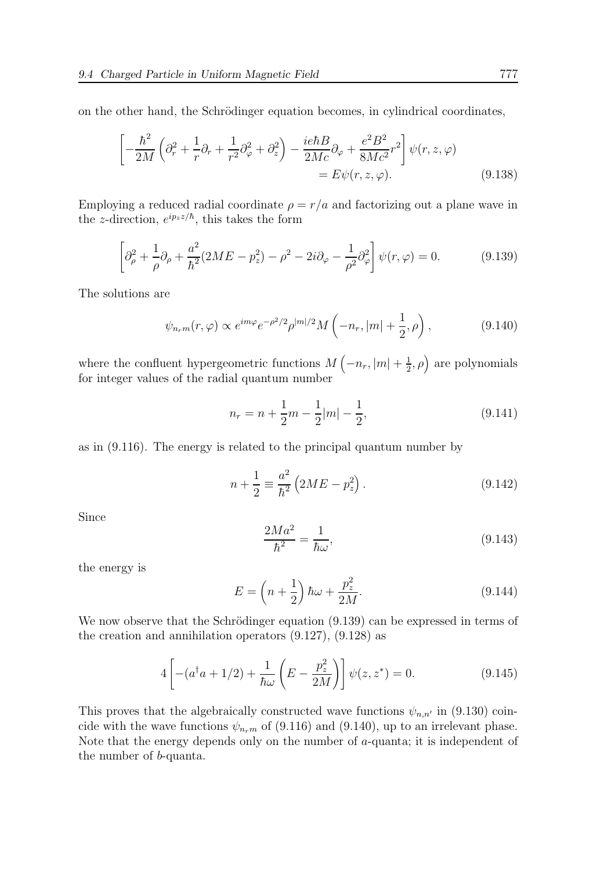on the other hand, the Schrödinger equation becomes, in cylindrical coordinates,

$$
\left[ -\frac{\hbar^2}{2M} \left( \partial_r^2 + \frac{1}{r} \partial_r + \frac{1}{r^2} \partial_\varphi^2 + \partial_z^2 \right) - \frac{ie\hbar B}{2Mc} \partial_\varphi + \frac{e^2 B^2}{8Mc^2} r^2 \right] \psi(r, z, \varphi)
$$
  
=  $E \psi(r, z, \varphi).$  (9.138)

Employing a reduced radial coordinate  $\rho = r/a$  and factorizing out a plane wave in the z-direction,  $e^{ip_z z/\hbar}$ , this takes the form

$$
\left[\partial_{\rho}^{2} + \frac{1}{\rho}\partial_{\rho} + \frac{a^{2}}{\hbar^{2}}(2ME - p_{z}^{2}) - \rho^{2} - 2i\partial_{\varphi} - \frac{1}{\rho^{2}}\partial_{\varphi}^{2}\right]\psi(r,\varphi) = 0.
$$
 (9.139)

The solutions are

$$
\psi_{n_r m}(r,\varphi) \propto e^{im\varphi} e^{-\rho^2/2} \rho^{|m|/2} M\left(-n_r, |m| + \frac{1}{2}, \rho\right),\tag{9.140}
$$

where the confluent hypergeometric functions  $M\left(-n_r, |m| + \frac{1}{2}\right)$  $(\frac{1}{2}, \rho)$  are polynomials for integer values of the radial quantum number

$$
n_r = n + \frac{1}{2}m - \frac{1}{2}|m| - \frac{1}{2},\tag{9.141}
$$

as in (9.116). The energy is related to the principal quantum number by

$$
n + \frac{1}{2} \equiv \frac{a^2}{\hbar^2} \left( 2ME - p_z^2 \right).
$$
 (9.142)

Since

$$
\frac{2Ma^2}{\hbar^2} = \frac{1}{\hbar\omega},\tag{9.143}
$$

the energy is

$$
E = \left(n + \frac{1}{2}\right)\hbar\omega + \frac{p_z^2}{2M}.\tag{9.144}
$$

We now observe that the Schrödinger equation  $(9.139)$  can be expressed in terms of the creation and annihilation operators (9.127), (9.128) as

$$
4\left[-(a^{\dagger}a+1/2)+\frac{1}{\hbar\omega}\left(E-\frac{p_z^2}{2M}\right)\right]\psi(z,z^*)=0.
$$
 (9.145)

This proves that the algebraically constructed wave functions  $\psi_{n,n'}$  in (9.130) coincide with the wave functions  $\psi_{n_r m}$  of (9.116) and (9.140), up to an irrelevant phase. Note that the energy depends only on the number of a-quanta; it is independent of the number of b-quanta.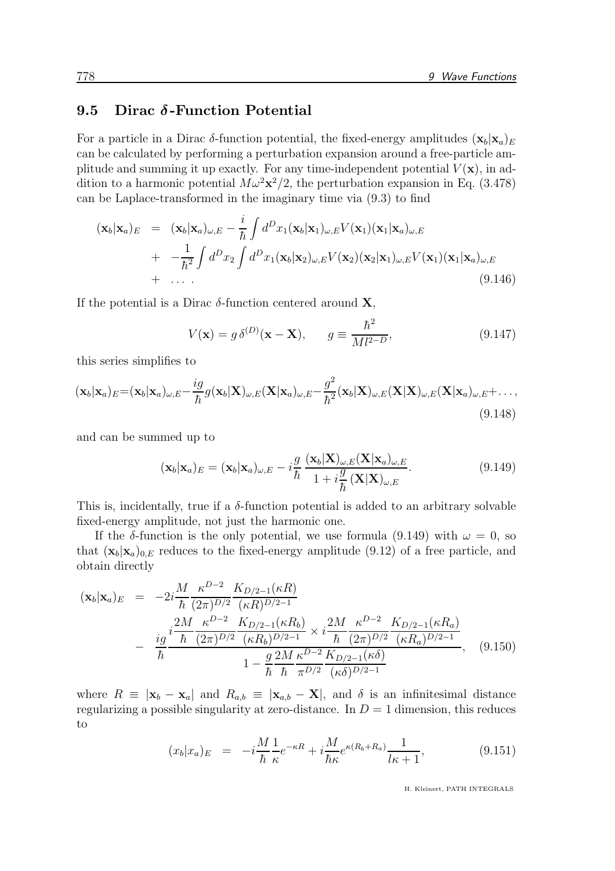## 9.5 Dirac  $\delta$ -Function Potential

For a particle in a Dirac  $\delta$ -function potential, the fixed-energy amplitudes  $(\mathbf{x}_b|\mathbf{x}_a)_E$ can be calculated by performing a perturbation expansion around a free-particle amplitude and summing it up exactly. For any time-independent potential  $V(\mathbf{x})$ , in addition to a harmonic potential  $M\omega^2\mathbf{x}^2/2$ , the perturbation expansion in Eq. (3.478) can be Laplace-transformed in the imaginary time via (9.3) to find

$$
(\mathbf{x}_b|\mathbf{x}_a)_E = (\mathbf{x}_b|\mathbf{x}_a)_{\omega,E} - \frac{i}{\hbar} \int d^D x_1(\mathbf{x}_b|\mathbf{x}_1)_{\omega,E} V(\mathbf{x}_1)(\mathbf{x}_1|\mathbf{x}_a)_{\omega,E} + -\frac{1}{\hbar^2} \int d^D x_2 \int d^D x_1(\mathbf{x}_b|\mathbf{x}_2)_{\omega,E} V(\mathbf{x}_2)(\mathbf{x}_2|\mathbf{x}_1)_{\omega,E} V(\mathbf{x}_1)(\mathbf{x}_1|\mathbf{x}_a)_{\omega,E} + \cdots
$$
\n(9.146)

If the potential is a Dirac  $\delta$ -function centered around **X**,

$$
V(\mathbf{x}) = g \, \delta^{(D)}(\mathbf{x} - \mathbf{X}), \qquad g \equiv \frac{\hbar^2}{M l^{2-D}}, \tag{9.147}
$$

this series simplifies to

$$
(\mathbf{x}_b|\mathbf{x}_a)_E = (\mathbf{x}_b|\mathbf{x}_a)_{\omega,E} - \frac{ig}{\hbar}g(\mathbf{x}_b|\mathbf{X})_{\omega,E}(\mathbf{X}|\mathbf{x}_a)_{\omega,E} - \frac{g^2}{\hbar^2}(\mathbf{x}_b|\mathbf{X})_{\omega,E}(\mathbf{X}|\mathbf{X})_{\omega,E}(\mathbf{X}|\mathbf{x}_a)_{\omega,E} + \dots, \tag{9.148}
$$

and can be summed up to

$$
(\mathbf{x}_b|\mathbf{x}_a)_E = (\mathbf{x}_b|\mathbf{x}_a)_{\omega,E} - i\frac{g}{\hbar} \frac{(\mathbf{x}_b|\mathbf{X})_{\omega,E}(\mathbf{X}|\mathbf{x}_a)_{\omega,E}}{1 + i\frac{g}{\hbar}(\mathbf{X}|\mathbf{X})_{\omega,E}}.
$$
\n(9.149)

This is, incidentally, true if a  $\delta$ -function potential is added to an arbitrary solvable fixed-energy amplitude, not just the harmonic one.

If the δ-function is the only potential, we use formula (9.149) with  $\omega = 0$ , so that  $(\mathbf{x}_b|\mathbf{x}_a)_{0,E}$  reduces to the fixed-energy amplitude (9.12) of a free particle, and obtain directly

$$
(\mathbf{x}_{b}|\mathbf{x}_{a})_{E} = -2i\frac{M}{\hbar} \frac{\kappa^{D-2}}{(2\pi)^{D/2}} \frac{K_{D/2-1}(\kappa R)}{(\kappa R)^{D/2-1}} -\frac{ig}{\hbar} \frac{i\frac{2M}{\hbar} \frac{\kappa^{D-2}}{(2\pi)^{D/2}} \frac{K_{D/2-1}(\kappa R_{b})}{(\kappa R_{b})^{D/2-1}} \times i\frac{2M}{\hbar} \frac{\kappa^{D-2}}{(2\pi)^{D/2}} \frac{K_{D/2-1}(\kappa R_{a})}{(\kappa R_{a})^{D/2-1}} -\frac{g}{\hbar} \frac{2M}{\hbar} \frac{\kappa^{D-2}}{\pi^{D/2}} \frac{K_{D/2-1}(\kappa \delta)}{(\kappa \delta)^{D/2-1}},
$$
(9.150)

where  $R \equiv |\mathbf{x}_b - \mathbf{x}_a|$  and  $R_{a,b} \equiv |\mathbf{x}_{a,b} - \mathbf{X}|$ , and  $\delta$  is an infinitesimal distance regularizing a possible singularity at zero-distance. In  $D = 1$  dimension, this reduces to

$$
(x_b|x_a)_E = -i\frac{M}{\hbar} \frac{1}{\kappa} e^{-\kappa R} + i\frac{M}{\hbar \kappa} e^{\kappa (R_b + R_a)} \frac{1}{l\kappa + 1},
$$
(9.151)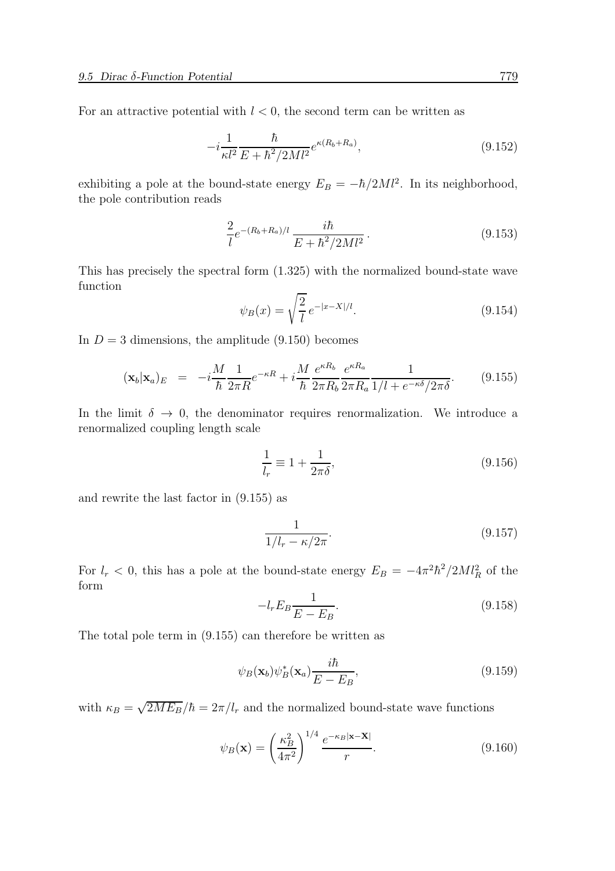For an attractive potential with  $l < 0$ , the second term can be written as

$$
-i\frac{1}{\kappa l^2} \frac{\hbar}{E + \hbar^2 / 2M l^2} e^{\kappa (R_b + R_a)},\tag{9.152}
$$

exhibiting a pole at the bound-state energy  $E_B = -\hbar/2Ml^2$ . In its neighborhood, the pole contribution reads

$$
\frac{2}{l}e^{-(R_b+R_a)/l}\frac{i\hbar}{E+\hbar^2/2Ml^2}.
$$
\n(9.153)

This has precisely the spectral form (1.325) with the normalized bound-state wave function

$$
\psi_B(x) = \sqrt{\frac{2}{l}} \, e^{-|x - X|/l}.\tag{9.154}
$$

In  $D = 3$  dimensions, the amplitude (9.150) becomes

$$
(\mathbf{x}_b|\mathbf{x}_a)_E = -i\frac{M}{\hbar} \frac{1}{2\pi R} e^{-\kappa R} + i\frac{M}{\hbar} \frac{e^{\kappa R_b}}{2\pi R_b} \frac{e^{\kappa R_a}}{2\pi R_a} \frac{1}{1/l + e^{-\kappa \delta}/2\pi \delta}.
$$
 (9.155)

In the limit  $\delta \to 0$ , the denominator requires renormalization. We introduce a renormalized coupling length scale

$$
\frac{1}{l_r} \equiv 1 + \frac{1}{2\pi\delta},\tag{9.156}
$$

and rewrite the last factor in (9.155) as

$$
\frac{1}{1/l_r - \kappa/2\pi}.\tag{9.157}
$$

For  $l_r < 0$ , this has a pole at the bound-state energy  $E_B = -4\pi^2\hbar^2/2Ml_R^2$  of the form

$$
-l_r E_B \frac{1}{E - E_B}.\tag{9.158}
$$

The total pole term in (9.155) can therefore be written as

$$
\psi_B(\mathbf{x}_b)\psi_B^*(\mathbf{x}_a)\frac{i\hbar}{E - E_B},\tag{9.159}
$$

with  $\kappa_B = \sqrt{2ME_B}/\hbar = 2\pi/l_r$  and the normalized bound-state wave functions

$$
\psi_B(\mathbf{x}) = \left(\frac{\kappa_B^2}{4\pi^2}\right)^{1/4} \frac{e^{-\kappa_B |\mathbf{x} - \mathbf{X}|}}{r}.
$$
\n(9.160)